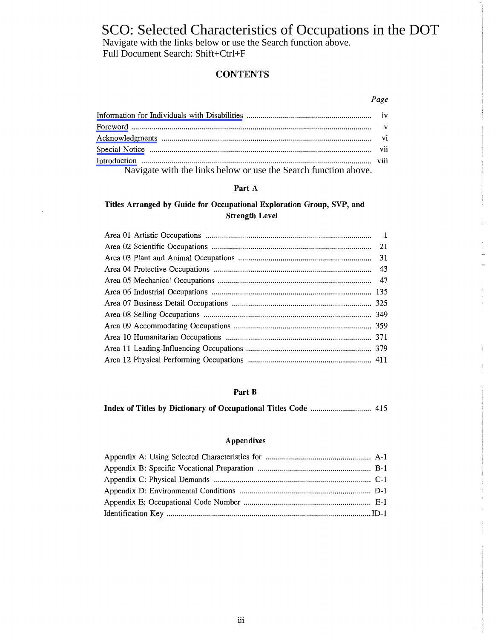# SCO: Selected Characteristics of Occupations in the DOT<br>Navigate with the links below or use the Search function above.

Full Document Search: Shift+Ctrl+F

Navigate with the links below or use the Search function above.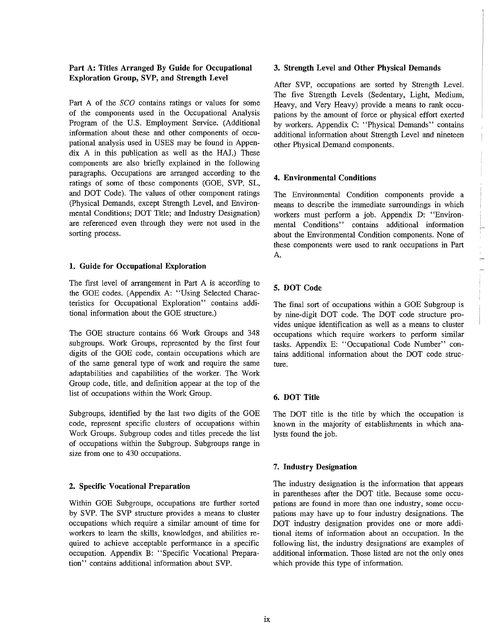## Part A: Titles Arranged By Guide for Occupational Exploration Group, SVP, and Strength Level

Part A of the *SCO* contains ratings or values for some of the components used in the Occupational Analysis Program of the U.S. Employment Service. (Additional information about these and other components of occupational analysis used in USES may be found in Appen $dix$  A in this publication as well as the HAJ.) These components are also briefly explained in the following paragraphs. Occupations are arranged according to the ratings of some of these components (GOE, SVP, SL, and DOT Code). The values of other component ratings (Physical Demands, except Strength Level, and Environmental Conditions; DOT Title; and Industry Designation) are referenced even through they were not used in the sorting process.

#### 1. Guide for Occupational Exploration

The first level of arrangement in Part A is according to the GOE codes. (Appendix A: "Using Selected Characteristics for Occupational Exploration" contains additional information about the GOE structure.)

The GOE structure contains 66 Work Groups and 348 subgroups. Work Groups, represented by the first four digits of the GOE code, contain occupations which are of the same general type of work and require the same adaptabilities and capabilities of the worker. The Work Group code, title, and definition appear at the top of the list of occupations within the Work Group.

Subgroups, identified by the last two digits of the GOE code, represent specific clusters of occupations within Work Groups. Subgroup codes and titles precede the list of occupations within the Subgroup. Subgroups range in size from one to 430 occupations.

#### 2. Specific Vocational Preparation

Within GOE Subgroups, occupations are further sorted by SVP. The SVP structure provides a means to cluster occupations which require a similar amount of time for workers to learn the skills, knowledges, and abilities required to achieve acceptable performance in a specific occupation. Appendix B: "Specific Vocational Preparation" contains additional information about SVP.

#### 3. Strength Level and Other Physical Demands

After SVP, occupations are sorted by Strength Level. The five Strength Levels (Sedentary, Light, Medium, Heavy, and Very Heavy) provide a means to rank occupations by the amount of force or physical effort exerted by workers. Appendix C: "Physical Demands" contains additional information about Strength Level and nineteen other Physical Demand components.

#### 4. Environmental Conditions

The Environmental Condition components provide a means to describe the immediate surroundings in which workers must perform a job. Appendix D: "Environmental Conditions" contains additional information about the Environmental Condition components. None of these components were used to rank occupations in Part A.

#### 5. DOT Code

The final sort of occupations within a GOE Subgroup is by nine-digit DOT code. The DOT code structure provides unique identification as well as a means to cluster occupations which require workers to perform similar tasks. Appendix E: "Occupational Code Number" contains additional information about the DOT code structure.

#### 6. DOT Title

The DOT title is the title by which the occupation is known in the majority of establishments in which analysts found the job.

#### 7. Industry Designation

The industry designation is the information that appears in parentheses after the DOT title. Because some occupations are found in more than one industry, some occupations may have up to four industry designations. The DOT industry designation provides one or more additional items of information about an occupation. In the following list, the industry designations are examples of additional information. Those listed are not the only ones which provide this type of information.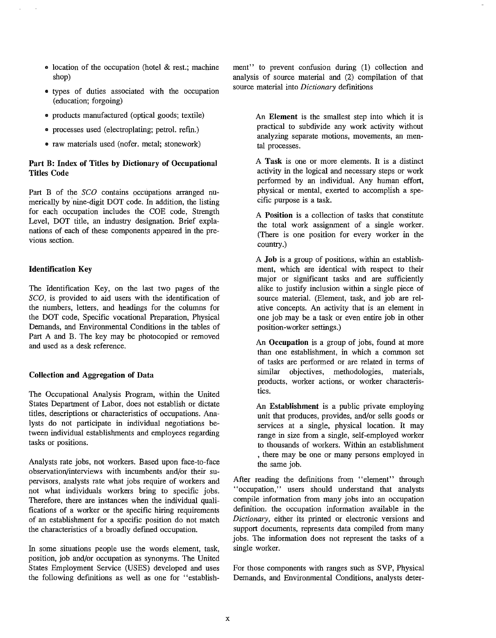- location of the occupation (hotel & rest.; machine shop)
- types of duties associated with the occupation (education; forgoing)
- products manufactured (optical goods; textile)
- processes used (electroplating; petrol. refin.)
- raw materials used (nofer. metal; stonework)

### Part B: Index of Titles by Dictionary of Occupational Titles Code

Part B of the  $SCO$  contains occupations arranged numerically by nine-digit DOT code. In addition, the listing for each occupation includes the COE code, Strength Level, DOT title, an industry designation. Brief explanations of each of these components appeared in the previous section.

#### Identification Key

The Identification Key, on the last two pages of the SCO, is provided to aid users with the identification of the numbers, letters, and headings for the colunms for the DOT code, Specific vocational Preparation, Physical Demands, and Environmental Conditions in the tables of Part A and B. The key may be photocopied or removed and used as a desk reference.

#### Collection and Aggregation of Data

The Occupational Analysis Program, within the United States Department of Labor, does not establish or dictate titles, descriptions or characteristics of occupations. Analysts do not participate in individual negotiations between individual establishments and employees regarding tasks or positions.

Analysts rate jobs, not workers. Based upon face-to-face observation/interviews with incumbents and/or their supervisors, analysts rate what jobs require of workers and not what individuals workers bring to specific jobs. Therefore, there are instances when the individual qualifications of a worker or the specific hiring requirements of an establishment for a specific position do not match the characteristics of a broadly defined occupation.

In some situations people use the words element, task, position, job and/or occupation as synonyms. The United States Employment Service (USES) developed and uses the following definitions as well as one for "establishment" to prevent confusion during (1) collection and analysis of source material and (2) compilation of that source material into *Dictionary* definitions

> An Element is the smallest step into which it is practical to subdivide any work activity without analyzing separate motions, movements, an mental processes.

> A Task is one or more elements. It is a distinct activity in the logical and necessary steps or work performed by an individual. Any human effort, physical or mental, exerted to accomplish a specific purpose is a task.

> A Position is a collection of tasks that constitute the total work assignment of a single worker. (There is one position for every worker in the country.)

> A Job is a group of positions, within an establishment, which are identical with respect to their major or significant tasks and are sufficiently alike to justify inclusion within a single piece of source material. (Element, task, and job are relative concepts. An activity that is an element in one job may be a task or even entire job in other position-worker settings.)

> An Occupation is a group of jobs, found at more than one establishment, in which a common set of tasks are performed or are related in terms of similar objectives, methodologies, materials, products, worker actions, or worker characteristics.

> An Establishment is a public private employing unit that produces, provides, and/or sells goods or services at a single, physical location. It may range in size from a single, self-employed worker to thousands of workers. Within an establishment , there may be one or many persons employed in the same job.

After reading the definitions from "element" through "occupation," users should understand that analysts compile information from many jobs into an occupation definition. the occupation information available in the *Dictionary*, either its printed or electronic versions and support documents, represents data compiled from many jobs. The information does not represent the tasks of a single worker.

For those components with ranges such as SVP, Physical Demands, and Environmental Conditions, analysts deter-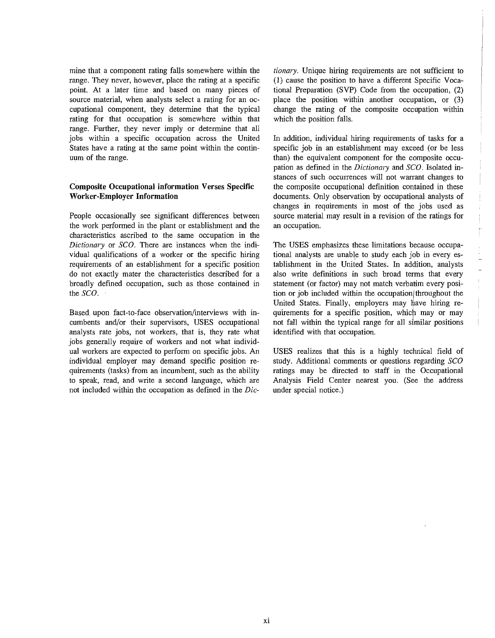mine that a component rating falls somewhere within the range. They never, however, place the rating at a specific point. At a later time and based on many pieces of source material, when analysts select a rating for an occupational component, they determine that the typical rating for that occupation is somewhere within that range. Further, they never imply or determine that all jobs within a specific occupation across the United States have a rating at the same point within the continuum of the range.

#### Composite Occupational **information** Verses Specific Worker-Employer **Information**

People occasionally see significant differences between the work performed in the plant or establishment and the characteristics ascribed to the same occupation in the *Dictionary* or *SCO*. There are instances when the individual qualifications of a worker or the specific hiring requirements of an establishment for a specific position do not exactly mater the characteristics described for a broadly defined occupation, such as those contained in the SCO.

Based. upon fact-to-face observation/interviews with incumbents and/or their supervisors, USES occupational analysts rate jobs, not workers, that is, they rate what jobs generally require of workers and not what individual workers are expected to perform on specific jobs. An individual employer may demand specific position requirements (tasks) from an incumbent, such as the ability to speak, read, and write a second language, which are not included within the occupation as defined in the *Dic-* *tionary*. Unique hiring requirements are not sufficient to (1) cause the position to have a different Specific Vocational Preparation (SVP) Code from the occupation, (2) place the position within another occupation, or (3) change the rating of the composite occupation within which the position falls.

In addition, individual hiring requirements of tasks for a specific job in an establishment may exceed (or be less than) the equivalent component for the composite occupation as defined in the *Dictionary* and SCO. Isolated instances of such occurrences will not warrant changes to the composite occupational definition contained in these documents. Only observation by occupational analysts of changes in requirements in most of the jobs used as source material may result in a revision of the ratings for an occupation.

The USES emphasizes these limitations because occupational analysts are unable to study each job in every establishment in the United States. In addition, analysts also write definitions in such broad terms that every statement (or factor) may not match verbatim every position or job included within the occupation/throughout the United States. Finally, employers may have hiring requirements for a specific position, which may or may not fall within the typical range for all similar positions identified with that occupation.

USES realizes that this is a highly technical field of study. Additional comments or questions regarding  $SCO$ ratings may be directed to staff in the Occupational Analysis Field Center nearest you. (See the address under special notice.)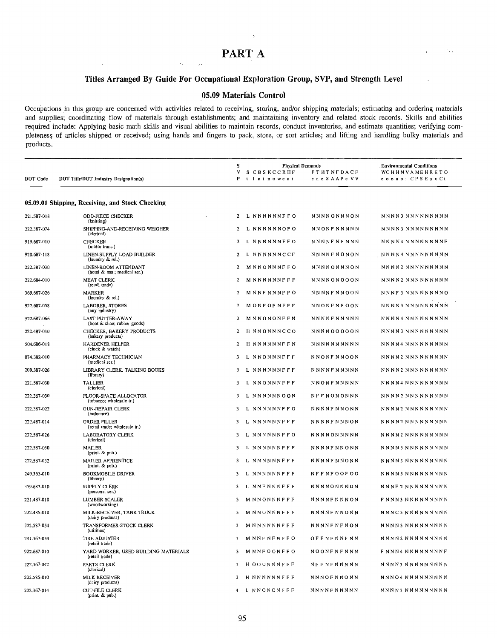$\lambda$ 

64

# PART A

iya.

## Titles Arranged By Guide For Occupational Exploration Group, SVP, and Strength Level

#### 05.09 Materials Controi

Occupations in this group are concerned with activities related to receiving, storing, and/or shipping materials; estimating and ordering materials and supplies; coordinating flow of materials through establishments; and maintaining inventory and related stock records. Skills and abilities required include: Applying basic math skills and visual abilities to maintain records, conduct inventories, and estimate quantities; verifying completeness of articles shipped or received; using hands and fingers to pack, store, or sort articles; and lifting and handling bulky materials and products.

|             |                                                        | s              | <b>Physical Demands</b> |                     | . Environmental Conditions  |
|-------------|--------------------------------------------------------|----------------|-------------------------|---------------------|-----------------------------|
|             |                                                        | v              | S CBSKCCRHF             | <b>FTHTNFDACF</b>   | WCHHNVAMEHRETO              |
| DOT Code    | DOT Title/DOT Industry Designation(s)                  | P              | t latnoweai             | e a e 5 A A P c V V | сорноі CPS Eax Ct           |
|             | 05.09.01 Shipping, Receiving, and Stock Checking       |                |                         |                     |                             |
| 221.587-018 | <b>ODD-PIECE CHECKER</b>                               | 2              | L NNNNNNFFO             | NNNNONNNON          | NNNN3 NNNNNNNNN             |
| 222.387-074 | (knitting)<br>SHIPPING-AND-RECEIVING WEIGHER           | 2              | L NNNNNNOFO             | NNONFNNNNN          | NNNN3 NNNNNNNNN             |
| 919.687-010 | (clerical)<br><b>CHECKER</b><br>(motor trans.)         | 2              | L NNNNNNFFO             | NNNNF NF NNN        | NNNN4 NNNNNNNNF             |
| 920.687-118 | LINEN-SUPPLY LOAD-BUILDER<br>(laundry $\&$ rel.)       | 2              | L NNNNNNCCF             | NNNNFNONON          | NNNN4 NNNNNNNNN             |
| 222.387-030 | LINEN-ROOM ATTENDANT<br>(hotel & rest.; medical ser.)  | 2              | MNNONNNFFO              | NNNNONNNON          | NNNN2 NNNNNNNNN             |
| 222.684-010 | <b>MEAT CLERK</b><br>(retail trade)                    | 2              | MNNNNNNFFF              | NNNNONOOON          | NNNN2 NNNNNNNNN             |
| 369,687-026 | MARKER<br>(laundry & rel.)                             | 2              | M NNF NNNF F O          | <b>NNNNFNNOON</b>   | NNNF3 NNNNNNNNO             |
| 922.687-058 | LABORER, STORES<br>(any industry)                      | 2              | MONFOFNFFF              | NNONFNF OON         | NNNN3 NNNNNNNNN             |
| 922.687-066 | LAST PUTTER-AWAY<br>(boot & shoe; rubber goods)        | 2              | MNNONONFFN              | <b>NNNNFNNNNN</b>   | NNNN4 NNNNNNNNNN            |
| 222.487-010 | CHECKER, BAKERY PRODUCTS<br>(bakery products)          | 2              | H NNONNNCCO             | NNNN00000N          | NNNN3 NNNNNNNNNN            |
| 504.686-018 | HARDENER HELPER<br>(clock & watch)                     | $\overline{a}$ | H NNNNNNFFN             | NNNNNNNNNN          | NNNN4 NNNNNNNNN             |
| 074,382-010 | PHARMACY TECHNICIAN<br>(medical ser.)                  | 3              | L NNONNNFFF             | NNONFNNOON          | NNNN2 NNNNNNNNNN            |
| 209.387-026 | LIBRARY CLERK, TALKING BOOKS<br>(library)              | 3              | L NNNNNNFFF             | <b>NNNNFNNNNN</b>   | NNNN2 NNNNNNNNNN            |
| 221.587-030 | TALLIER<br>(clerical)                                  | 3              | L NNONNNFFF             | NNONFNNNNN          | NNNN4 NNNNNNNNNN            |
| 222.367-030 | FLOOR-SPACE ALLOCATOR<br>(tobacco; wholesale u.)       | 3              | L NNNNNNOON             | NFFNONONNN          | NNNN2 NNNNNNNNN             |
| 222.387-022 | <b>GUN-REPAIR CLERK</b><br>(ordnance)                  | 3              | L NNNNNNFFO             | NNNNF NNONN         | NNNN2 NNNNNNNNN             |
| 222.487-014 | ORDER FILLER<br>(retail trade; wholesale tr.)          | 3              | L NNNNNNFFF             | NNNNF NNNON         | NNNN2 NNNNNNNNNN            |
| 222.587-026 | LABORATORY CLERK<br>(clerical)                         | 3              | L NNNNNNFFO             | NNNNONNNNN          | NNNN2 NNNNNNNNNN            |
| 222,587-030 | MAILER<br>(print. & pub.)                              | 3              | L NNNNNNFFF             | <b>NNNNFNNONN</b>   | NNNN3 NNNNNNNNN             |
| 222.587-032 | MAILER APPRENTICE<br>(print. & pub.)                   | 3              | L NNNNNNFFF             | NNNNF NNONN         | NNNN3 NNNNNNNNN             |
| 249.363-010 | <b>BOOKMOBILE DRIVER</b><br>(library)                  | 3              | L NNNNNNFFF             | <b>NFFNFOOFOO</b>   | NNNN3 NNNNNNNNN             |
| 339.687-010 | <b>SUPPLY CLERK</b><br>(personal ser.)                 | 3              | L NNFNNNFFF             | NNNNONNNON          | NNNF 2 NNNNNNNNN            |
| 221.487-010 | LUMBER SCALER<br>(woodworking)                         | 3              | MNNONNNFFF              | <b>NNNNFNNNON</b>   | F N N N 3 N N N N N N N N N |
| 222.485-010 | MILK-RECEIVER, TANK TRUCK<br>(dairy products)          | 3              | M N N O N N N F F F     | NNNNFNNONN          | NNNC3 NNNNNNNNN             |
| 222.587-054 | TRANSFORMER-STOCK CLERK<br>(utilities)                 | 3              | MNNNNNNFFF              | <b>NNNNFNFNON</b>   | NNNN3 NNNNNNNNN             |
| 241.367-034 | TIRE ADJUSTER<br>(retail trade)                        | 3              | MNNFNFNFFO              | OFFNFNNFNN          | NNNN2 NNNNNNNNN             |
| 922.667-010 | YARD WORKER, USED BUILDING MATERIALS<br>(retail trade) | 3              | MNNFOONFFO              | NOONFNFNNN          | F NNN4 NNNNNNNNF            |
| 222.367-042 | PARTS CLERK<br>(clerical)                              | 3              | H OOONNNFFF             | NFFNFNNNNN          | NNNN3 NNNNNNNNN             |
| 222.585-010 | <b>MILK RECEIVER</b><br>(dairy products)               | 3              | H NNNNNNFFF             | NNNOFNNONN          | NNNO4 NNNNNNNNN             |
| 222,367-014 | <b>CUT-FILE CLERK</b><br>(priot. & pub.)               | 4              | L NNONONFFF             | <b>NNNNFNNNNN</b>   | NNNN3 NNNNNNNNNN            |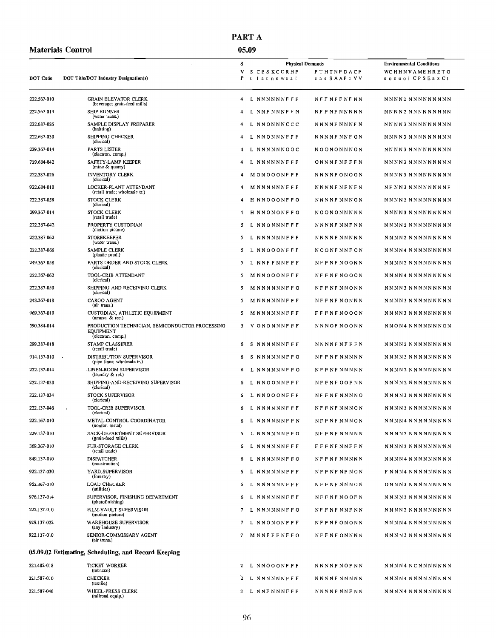## PART A

|             | <b>Materials Control</b>                                                                                     |             | 05.09                                                                                              |  |                     |                                                                         |
|-------------|--------------------------------------------------------------------------------------------------------------|-------------|----------------------------------------------------------------------------------------------------|--|---------------------|-------------------------------------------------------------------------|
| DOT Code    | DOT Title/DOT Industry Designation(s)                                                                        | s<br>V<br>P | <b>Physical Demands</b><br>S CBSKCCRHF<br><b>FTHTNFDACF</b><br>e a e S A A P c V V<br>t lat noweai |  |                     | <b>Environmental Conditions</b><br>WCHHNVAMEHRETO<br>сооцоі CPS Ea x Ct |
|             |                                                                                                              |             |                                                                                                    |  |                     |                                                                         |
| 222.567-010 | <b>GRAIN ELEVATOR CLERK</b><br>(beverage; grain-feed mills)                                                  | 4           | L NNNNNNFFF                                                                                        |  | <b>NEFNEFNENN</b>   | NNNN2 NNNNNNNNNN                                                        |
| 222.567-014 | <b>SHIP RUNNER</b><br>(water trans.)                                                                         | 4           | L NNFNNNFFN                                                                                        |  | <b>NFFNFNNNNN</b>   | NNNN2 NNNNNNNNNN                                                        |
| 222.687-026 | SAMPLE DISPLAY PREPARER<br>(knitting)                                                                        | 4           | NNONNNCCC<br>L                                                                                     |  | NNNNF NNNF N        | NNNN3 NNNNNNNNN                                                         |
| 222.687-030 | SHIPPING CHECKER<br>(clerical)                                                                               | 4           | L NNONNNFFF                                                                                        |  | NNNNF NNF ON        | NNNN3 NNNNNNNNN                                                         |
| 229.367-014 | PARTS LISTER<br>(electron. comp.)                                                                            | 4           | L NNNNNNOOC                                                                                        |  | NOONONNNON          | NNNN3 NNNNNNNNNN                                                        |
| 729.684-042 | SAFETY-LAMP KEEPER<br>(mine & quary)                                                                         | 4           | <b>NNNNNNFFF</b><br>L                                                                              |  | <b>ONNNFNFFFN</b>   | NNNN3 NNNNNNNNNN                                                        |
| 222.387-026 | <b>INVENTORY CLERK</b><br>(clerical)                                                                         | 4           | MONOOONFFF                                                                                         |  | NNNNF ONOON         | NNNN3 NNNNNNNNNN                                                        |
| 922,684-010 | LOCKER-PLANT ATTENDANT<br>(retail trade; wholesale tr.)                                                      | 4           | M NNNNNNFFF                                                                                        |  | <b>NNNNFNFNFN</b>   | NF NN3 NNNNNNNNF                                                        |
| 222.387-058 | STOCK CLERK<br>(clerical)                                                                                    | 4           | H NNOOONFFO                                                                                        |  | NNNNF NNNON         | NNNN2 NNNNNNNNN                                                         |
| 299.367-014 | <b>STOCK CLERK</b><br>(retail trade)                                                                         | 4           | H NNONONFFO                                                                                        |  | NOONONNNNN          | NNNN3 NNNNNNNNNN                                                        |
| 222.387-042 | PROPERTY CUSTODIAN<br>(motion picture)                                                                       | 5           | L NNONNNFFF                                                                                        |  | NNNNF NNF NN        | NNNN2 NNNNNNNNN                                                         |
| 222.387-062 | <b>STOREKEEPER</b><br>(water trans.)                                                                         | 5           | L NNNNNNFFF                                                                                        |  | <b>NNNNFNNNNN</b>   | NNNN2 NNNNNNNNN                                                         |
| 222.387-066 | SAMPLE CLERK<br>(plastic prod.)                                                                              | 5           | <b>NNOOONFFF</b><br>L                                                                              |  | NOONFNNFON          | NNNN4 NNNNNNNNNN                                                        |
| 249.367-058 | PARTS-ORDER-AND-STOCK CLERK<br>(clerical)                                                                    | 5           | L NNFFNNFFF                                                                                        |  | <b>NFFNFNOONN</b>   | NNNN2 NNNNNNNNN                                                         |
| 222.367-062 | TOOL-CRIB ATTENDANT<br>(clerical)                                                                            | 5           | M NN OOONFFF                                                                                       |  | <b>NFFNFNOOON</b>   | NNNN4 NNNNNNNNNN                                                        |
| 222,387-050 | SHIPPING AND RECEIVING CLERK<br>(clerical)                                                                   | 5           | M NNN NNNFF O                                                                                      |  | <b>NFF NF NNONN</b> | NNNN3 NNNNNNNNN                                                         |
| 248.367-018 | <b>CARGO AGENT</b><br>(air trans.)                                                                           | 5           | M NNNNNNFFF                                                                                        |  | <b>NFF NF NONNN</b> | NNNN3 NNNNNNNNNN                                                        |
| 969.367-010 | CUSTODIAN, ATHLETIC EQUIPMENT                                                                                | 5           | M NNNNNNFFF                                                                                        |  | <b>FFFNFNOOON</b>   | NNNN3 NNNNNNNNNN                                                        |
| 590.384-014 | (annuse. & rec.)<br>PRODUCTION TECHNICIAN, SEMICONDUCTOR PROCESSING<br><b>EOUTPMENT</b><br>(electron. comp.) | 5           | V ONONNNFFF                                                                                        |  | NNN OF NOONN        | NNON4 NNNNNNNON                                                         |
| 299.387-018 | STAMP CLASSIFIER<br>(retail trade)                                                                           | 6           | NNNNNNFFF<br>s                                                                                     |  | <b>NNNNFNFFFN</b>   | NNNN2 NNNNNNNNN                                                         |
| 914.137-010 | DISTRIBUTION SUPERVISOR<br>(pipe lines; wholesale tr.)                                                       | 6           | <b>NNNNNNFFO</b><br>s                                                                              |  | <b>NFFNFNNNNN</b>   | NNNN3 NNNNNNNNN                                                         |
| 222.137-014 | LINEN-ROOM SUPERVISOR<br>(laundry & rel.)                                                                    | 6           | L NNNNNNFFO                                                                                        |  | NFFNFNNNNN          | NNNN2 NNNNNNNNNN                                                        |
| 222.137-030 | SHIPPING-AND-RECEIVING SUPERVISOR<br>(clerical)                                                              | 6           | L NNOONNFFF                                                                                        |  | <b>NFFNFOOFNN</b>   | NNNN2 NNNNNNNNN                                                         |
| 222 137-034 | <b>STOCK SUPERVISOR</b><br>(clerical)                                                                        | 6           | L NNOOONFFF                                                                                        |  | <b>NFFNFNNNNO</b>   | NNNN3 NNNNNNNNN                                                         |
| 222.137-046 | TOOL-CRIB SUPERVISOR<br>(clerical)                                                                           | 6           | L NNNNNNFFF                                                                                        |  | NFFNFNNNON          | NNNN3 NNNNNNNNN                                                         |
| 222.167-010 | METAL-CONTROL COORDINATOR<br>(nonfer. metal)                                                                 | 6           | L NNNNNNFFN                                                                                        |  | <b>NFFNFNNNON</b>   | NNNN4 NNNNNNNNN                                                         |
| 229.137-010 | SACK-DEPARTMENT SUPERVISOR<br>(grain-feed mills)                                                             | 6           | L NNNNNNFFO                                                                                        |  | <b>NFFNFNNNNN</b>   | NNNN2 NNNNNNNNN                                                         |
| 369.367-010 | FUR-STORAGE CLERK<br>(retail trade)                                                                          | 6           | L NNNNNNFFF                                                                                        |  | <b>FFFNFNNFFN</b>   | NNNN3 NNNNNNNNN                                                         |
| 849.137-010 | <b>DISPATCHER</b>                                                                                            | 6           | L NNNNNNFFO                                                                                        |  | <b>NFFNFNNNNN</b>   | NNNN4 NNNNNNNNNN                                                        |
| 922.137-030 | (construction)<br>YARD SUPERVISOR                                                                            | 6           | L NNNNNNFFF                                                                                        |  | <b>NFFNFNFNON</b>   | F NNN4 NNNNNNNNN                                                        |
| 952.367-010 | (forestry)<br><b>LOAD CHECKER</b>                                                                            | 6           | L NNNNNNFFF                                                                                        |  | <b>NFFNFNNNON</b>   | ONNN3 NNNNNNNNN                                                         |
| 976.137-014 | (utilities)<br>SUPERVISOR, FINISHING DEPARTMENT                                                              | 6           | L NNNNNNFFF                                                                                        |  | NFFNFNOOFN          | NNNN3 NNNNNNNNNN                                                        |
| 222.137-010 | (photofinishing)<br>FILM-VAULT SUPERVISOR                                                                    | 7           | L NNNNNNFFO                                                                                        |  | <b>NFFNFNNFNN</b>   | NNNN2 NNNNNNNNNN                                                        |
| 929.137-022 | (motion picture)<br>WAREHOUSE SUPERVISOR                                                                     | $\tau$      | L NNONONFFF                                                                                        |  | <b>NFFNFONONN</b>   | NNNN4 NNNNNNNNNN                                                        |
| 922.137-010 | (any industry)<br>SENIOR-COMMISSARY AGENT<br>(air trans.)                                                    | 7           | MNNFFFNFFO                                                                                         |  | <b>NFFNFONNNN</b>   | NNNN3 NNNNNNNNN                                                         |
|             | 05.09.02 Estimating, Scheduling, and Record Keeping                                                          |             |                                                                                                    |  |                     |                                                                         |
| 221.482-018 | <b>TICKET WORKER</b>                                                                                         | 2           | L NNOOONFFF                                                                                        |  | <b>NNNNFNOFNN</b>   | NNNN4 NCNNNNNNN                                                         |
| 221.587-010 | (tobacco)<br><b>CHECKER</b>                                                                                  | 2           | L NNNNNNFFF                                                                                        |  | NNNNF NNNNN         | NNNN4 NNNNNNNNNN                                                        |
| 221,587-046 | (textile)<br><b>WHEEL-PRESS CLERK</b><br>(railroad equip.)                                                   |             | 2 L NNF NNNF F F                                                                                   |  | NNNNF NNF NN        | NNNN4 NNNNNNNNN                                                         |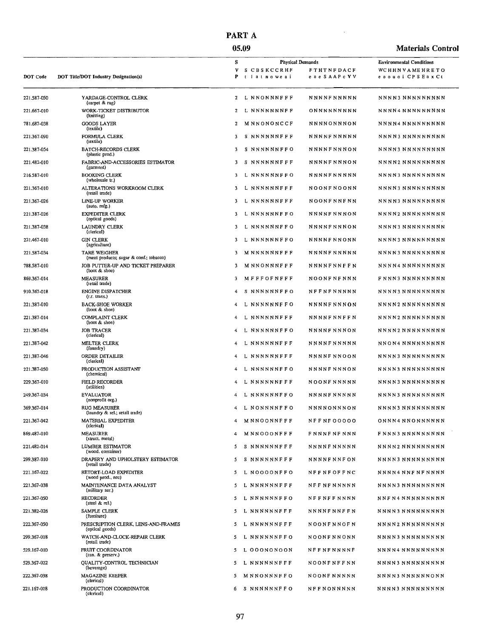## PART A 05.09

| <b>Materials Control</b> |  |
|--------------------------|--|
|--------------------------|--|

 $\bar{\mathcal{A}}$ 

| <b>DOT Code</b> | DOT Title/DOT Industry Designation(s)                                        | s<br>V<br>P    | <b>Physical Demands</b><br>S CBSKCCRHF<br>tlatnoweai | <b>FTHTNFDACF</b><br>e n e S A A P c V V | <b>Environmental Conditions</b><br>WCHHNVAMEHRETO<br>еооцоі СР 5 Елх Сt |
|-----------------|------------------------------------------------------------------------------|----------------|------------------------------------------------------|------------------------------------------|-------------------------------------------------------------------------|
| 221.587-050     | YARDAGE-CONTROL CLERK                                                        | $\overline{2}$ | L NNONNNFFF                                          | <b>NNNNFNNNNN</b>                        | NNNN3 NNNNNNNNN                                                         |
| 221.667-010     | (carpet & rug)<br>WORK-TICKET DISTRIBUTOR<br>(knitting)                      | 2              | L NNNNNNNFF                                          | ONNNNNNNNN                               | NNNN4 NNNNNNNNN                                                         |
| 781.687-038     | GOODS LAYER<br>(textile)                                                     | 2              | MNNONONCCF                                           | NNNNONNNON                               | NNNN4 NNNNNNNNNN                                                        |
| 221.367-090     | FORMULA CLERK<br>(textile)                                                   | 3              | S NNNNNNFFF                                          | <b>NNNNFNNNNN</b>                        | NNNN3 NNNNNNNNN                                                         |
| 221.387-054     | <b>BATCH-RECORDS CLERK</b><br>(plastic prod.)                                | 3              | S NNNNNNFFO                                          | NNNNFNNNON                               | NNNN3 NNNNNNNNNN                                                        |
| 221.482-010     | FABRIC-AND-ACCESSORIES ESTIMATOR<br>(garment)                                | 3              | S NNNNNNFFF                                          | <b>NNNNFNNNON</b>                        | NNNN2 NNNNNNNNN                                                         |
| 216.587-010     | <b>BOOKING CLERK</b><br>(wholesale tr.)                                      | 3              | L NNNNNNFFO                                          | <b>NNNNFNNNNN</b>                        | NNNN3 NNNNNNNNN                                                         |
| 221.367-010     | ALTERATIONS WORKROOM CLERK<br>(retail trade)                                 | з              | L NNNNNNFFF                                          | NOONF NOONN                              | NNNN3 NNNNNNNNNN                                                        |
| 221.367-026     | LINE-UP WORKER                                                               | 3              | L NNNNNNFFF                                          | <b>NOONFNNFNN</b>                        | NNNN3 NNNNNNNNN                                                         |
| 221.387-026     | (auto. mfg.)<br>EXPEDITER CLERK                                              | 3              | L NNNNNNFFO                                          | <b>NNNNFNNNON</b>                        | NNNN2 NNNNNNNNNN                                                        |
| 221,387-038     | (optical goods)<br><b>LAUNDRY CLERK</b>                                      | 3              | L NNNNNNFFO                                          | <b>NNNNFNNNON</b>                        | NNNN3 NNNNNNNNNN                                                        |
| 221.467-010     | (clerical)<br>GIN CLERK                                                      | 3              | L NNNNNNFFO                                          | <b>NNNNFNNONN</b>                        | NNNN3 NNNNNNNNNN                                                        |
| 221.587-034     | (agriculture)<br><b>TARE WEIGHER</b>                                         | 3              | <b>MNNNNNFFF</b>                                     | <b>NNNNFNNNNN</b>                        | NNNN3 NNNNNNNNN                                                         |
| 788.587-010     | (meat products; sugar & conf.; tobacco)<br>JOB PUTTER-UP AND TICKET PREPARER | 3              | <b>MNNONNNFFF</b>                                    | NNNNFNNFFN                               | NNNN4 NNNNNNNNNN                                                        |
| 869.367-014     | (boot & shoe)<br><b>MEASURER</b>                                             | 3              | MFFFOFNFFF                                           | NOONFNFNNN                               | FNNN3 NNNNNNNNNN                                                        |
| 910,367-018     | (retail trade)<br><b>ENGINE DISPATCHER</b>                                   | 4              | S NNNNNNFFO                                          | NFFNFNNNNN                               | NNNN3 NNNNNNNNN                                                         |
| 221.387-010     | (r.r. trans.)<br><b>BACK-SHOE WORKER</b>                                     | 4              | <b>NNNNNNFFO</b><br>L                                | NNNNFNNNON                               | NNNN2 NNNNNNNNN                                                         |
| 221.387-014     | (boot & shoe)<br>COMPLAINT CLERK                                             | 4              | L NNNNNNFFF                                          | <b>NNNNFNNFFN</b>                        | NNNN2 NNNNNNNNNN                                                        |
| 221.387-034     | (boot & shoe)<br><b>JOB TRACER</b>                                           | 4              | L NNNNNNFFO                                          | <b>NNNNFNNNON</b>                        | NNNN2 NNNNNNNNN                                                         |
| 221.387-042     | (clerical)<br>MELTER CLERK                                                   | 4              | NNNNNNFFF<br>L                                       | <b>NNNNFNNNNN</b>                        | NNON4 NNNNNNNNNN                                                        |
| 221,387-046     | (foundry)<br>ORDER DETAILER                                                  | 4              | L NNNNNNFFF                                          | NNNNF NNOON                              | NNNN3 NNNNNNNNN                                                         |
| 221.387-050     | (clerical)<br>PRODUCTION ASSISTANT                                           | 4              | L NNNNNNFFO                                          | NNNNF NNNON                              | NNNN3 NNNNNNNNNN                                                        |
| 229.367-010     | (chemical)<br><b>FIELD RECORDER</b>                                          | 4              | L NNNNNNFFF                                          | NOONFNNNNN                               | NNNN3 NNNNNNNNN                                                         |
| 249.367-034     | (utilities)<br><b>EVALUATOR</b>                                              | 4              | L NNNNNNFFO                                          | <b>NNNNFNNNNN</b>                        | NNNN3 NNNNNNNNNN                                                        |
| 369.367-014     | (nonprofit org.)<br><b>RUG MEASURER</b>                                      | 4              | L NONNNNFFO                                          | <b>NNNNONNNON</b>                        | NNNN3 NNNNNNNNNN                                                        |
| 221.367-042     | (laundry & rel.; retail trade)<br>MATERIAL EXPEDITER                         | 4              | MNNOONNFFF                                           | NFFNF00000                               | ONNN4 NNONNNNNN                                                         |
| 869.487-010     | (clerical)<br><b>MEASURER</b>                                                |                | MNNOOONFFF                                           | F NNNF NF NNN                            | F NN N 3 NN N N N N N N N N                                             |
| 221.482-014     | (struct. metal)<br>LUMBER ESTIMATOR                                          | 5              | S NNNNNNFFF                                          | NNNNF NNNNN                              | NNNN2 NNNNNNNNNN                                                        |
| 299.387-010     | (wood. container)<br>DRAPERY AND UPHOLSTERY ESTIMATOR                        | 5              | S NNNNNNFFF                                          | <b>NNNNFNNFON</b>                        | NNNN3 NNNNNNNNN                                                         |
| 221.167-022     | (retail trade)<br>RETORT-LOAD EXPEDITER                                      | 5              | L NOOOONFFO                                          | NFFNFOFFNC                               | NNNN4 NNF NF NNNN                                                       |
| 221.367-038     | (wood prod., nec)<br>MAINTENANCE DATA ANALYST                                | 5              | L NNNNNNFFF                                          | <b>NFF NF NNNNN</b>                      | NNNN3 NNNNNNNNNN                                                        |
| 221.367-050     | (military ser.)<br><b>RECORDER</b>                                           | 5.             | L NNNNNNFFO                                          | NFFNFFNNNN                               | NNFN4 NNNNNNNNNN                                                        |
| 221.382-026     | $($ steel & rel. $)$<br>SAMPLE CLERK                                         | 5              | L NNNNNNFFF                                          | NNNNFNNFFN                               | NNNN3 NNNNNNNNNN                                                        |
| 222.367-050     | (furniture)<br>PRESCRIPTION CLERK, LENS-AND-FRAMES                           | 5              | L NNNNNNFFF                                          | NOONFNNOFN                               | NNNN2 NNNNNNNNNN                                                        |
| 299.367-018     | (optical goods)<br>WATCH-AND-CLOCK-REPAIR CLERK                              | 5.             | L NNNNNNFFO                                          | NOONFNNONN                               | NNNN3 NNNNNNNNNN                                                        |
| 529.167-010     | (retail trade)<br>FRUIT COORDINATOR                                          | 5              | L OOONONOON                                          | NFFNFNNNNF                               | NNNN4 NNNNNNNNN                                                         |
| 529.367-022     | (can. & preserv.)<br>QUALITY-CONTROL TECHNICIAN                              | 5              | L NNNNNNFFF                                          | NOONFNFFNN                               | NNNN3 NNNNNNNNN                                                         |
| 222.367-038     | (beverage)<br><b>MAGAZINE KEEPER</b>                                         | 5              | MNNONNNFFO                                           | <b>NOONFNNNNN</b>                        | NNNN3 NNNNNNONN                                                         |
| 221.167-018     | (clerical)<br>PRODUCTION COORDINATOR<br>(cicrical)                           | 6              | S NNNNNNFFO                                          | NFFNONNNNN                               | NNNN3 NNNNNNNNNN                                                        |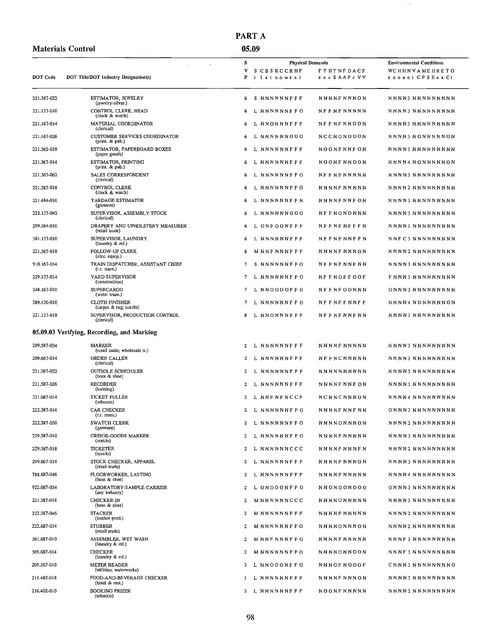|                 |                                                         | PART A                                 |                                          |                                          |
|-----------------|---------------------------------------------------------|----------------------------------------|------------------------------------------|------------------------------------------|
|                 | <b>Materials Control</b>                                | 05.09                                  |                                          |                                          |
|                 |                                                         | s                                      | Physical Demands                         | <b>Environmental Conditions</b>          |
| <b>DOT</b> Code | DOT Title/DOT Industry Designation(s)                   | S CBSKCCRHF<br>v<br>P<br>t lat nowe ai | <b>FTHTNFDACF</b><br>e a e S A A P c V V | WCHHNVAMEHRETO<br>e o o u o i CPSEu x Ct |
| 221.387-022     | ESTIMATOR, JEWELRY<br>(jewelry-silver.)                 | S NNNNNNFFF<br>6                       | <b>NNNNFNNNON</b>                        | NNNN3 NNNNNNNNN                          |
| 221.137-010     | CONTROL CLERK, HEAD<br>(clock & watch)                  | L NNNNNNFFO<br>6                       | NFFNFNNNNN                               | NNNN3 NNNNNNNNNN                         |
| 221.167-014     | MATERIAL COORDINATOR<br>(clerical)                      | L NNONNNFFF<br>6                       | <b>NFFNFNNOON</b>                        | NNNN3 NNNNNNNNN                          |
| 221.167-026     | <b>CUSTOMER SERVICES COORDINATOR</b><br>(print. & pub.) | L NNNNNN000<br>6                       | NCCNONOOON                               | NNNN3 NONNNNNON                          |
| 221.362-018     | ESTIMATOR, PAPERBOARD BOXES<br>(paper goods)            | L NNNNNNFFF<br>6                       | NOONFNNF ON                              | NNNN3 NNNNNNNNNN                         |
| 221.367-014     | ESTIMATOR, PRINTING<br>(print. & pub.)                  | L NNNNNNFFF<br>6                       | NOONF NNOON                              | NNNN4 NONNNNNON                          |
| 221,367-062     | SALES CORRESPONDENT<br>(clerical)                       | L NNNNNNFFO<br>6                       | <b>NFFNFNNNNN</b>                        | NNNN3 NNNNNNNNNN                         |
| 221.387-018     | CONTROL CLERK<br>(clock & watch)                        | L NNNNNNFFO<br>6                       | NNNNF NN NNN                             | NNNN2 NNNNNNNNNN                         |
| 221.484-010     | YARDAGE ESTIMATOR<br>(garment)                          | L NNNNNNFFN<br>6                       | <b>NNNNFNNFON</b>                        | NNNN3 NNNNNNNNN                          |
| 222.137-042     | SUPERVISOR, ASSEMBLY STOCK<br>(clerical)                | 6<br>L NNNNNN000                       | <b>NFFNONONNN</b>                        | N N N N 3 N N N N N N N N N              |
| 299.364-010     | DRAPERY AND UPHOLSTERY MEASURER<br>(retail trade)       | L ONFOONFFF<br>6                       | <b>NFFNFNFFFN</b>                        | NNNN3 NNNNNNNNN                          |
| 361.137-010     | SUPERVISOR, LAUNDRY<br>(laundry & rel.)                 | 6<br>L NNNNNNFFF                       | <b>NFFNFNNFFN</b>                        | NNF C 3 NNNNNNNNN                        |
| 221.367-018     | FOLLOW-UP CLERK<br>(elec. equip.)                       | 6<br><b>MNNFNNNFFF</b>                 | NNNNF NNNON                              | NNNN2 NNNNNNNNN                          |
| 910.167-014     | TRAIN DISPATCHER, ASSISTANT CHIEF<br>(r.r. trans.)      | 7<br>S NNNNNNFFO                       | <b>NFFNFNNFNN</b>                        | NNNN3 NNNNNNNNNN                         |
| 229.137-014     | YARD SUPERVISOR<br>(construction)                       | 7<br>L NNNNNNFFO                       | <b>NFFNOFFOOF</b>                        | F NN N 3 NN N N N N N N N                |
| 248.167-010     | <b>SUPERCARGO</b><br>(water trans.)                     | 7<br>L NNOOOOFFO                       | <b>NFFNFOONNN</b>                        | ONNN3 NNNNNNNNN                          |
| 589.130-010     | <b>CLOTH FINISHER</b><br>(carpet & rug; textile)        | 7<br>L NNNNNNFF O                      | <b>NFFNFFNNFF</b>                        | NNNN4 NONNNNNON                          |
| 221.137-018     | SUPERVISOR, PRODUCTION CONTROL<br>(clerical)            | 8<br>L NNONNNFFF                       | <b>NFFNFNNFNN</b>                        | NNNN3 NNNNNNNNN                          |
|                 | 05.09.03 Verifying, Recording, and Marking              |                                        |                                          |                                          |
| 209.587-034     | MARKER<br>(retail trade; wholesale tr.)                 | L NNNNNNFFF<br>2                       | NNNNF NNNNN                              | NNNN3 NNNNNNNNN                          |
| 209.667-014     | ORDER CALLER<br>(clerical)                              | L NNNNNNFFF<br>2                       | <b>NFFNCNNNNN</b>                        | NNNN3 NNNNNNNNN                          |
| 221.587-022     | <b>OUTSOLE SCHEDULER</b><br>(bool & shoc)               | L NNNNNNFFF<br>2                       | <b>NNNNNNNNNN</b>                        | NNNN2 NNNNNNNNN                          |
| 221.587-026     | <b>RECORDER</b><br>(knitting)                           | $\overline{2}$<br>L NNNNNNFFF          | NNNNF NNF ON                             | NNNN3 NNNNNNNNNN                         |
| 221.687-014     | TICKET PULLER<br>(tobacco)                              | $\mathbf{2}$<br>L NNF NF NCCF          | NCNNCNNNON                               | NNNN4 NNNNNNNNNN                         |
| 222.387-014     | <b>CAR CHECKER</b><br>(r.r. trans.)                     | $\mathbf{2}$<br>L NNNNNNFFO            | NNNNF NNF NN                             | ONNN3 NNNNNNNNN                          |
| 222.587-050     | <b>SWATCH CLERK</b><br>(garment)                        | 2<br>L NNNNNNFFO                       | NNNNONNNON                               | NNNN2 NNNNNNNNN                          |
| 229.587-010     | GREIGE-GOODS MARKER<br>(textile)                        | L NNNNNNFFO<br>2                       | <b>NNNNFNNNNN</b>                        | NNNN3 NNNNNNNNNN                         |
| 229.587-018     | <b>TICKETER</b><br>(textile)                            | 2 L NNNNNNCCC                          | <b>NNNNFNNNFN</b>                        | NNNN2 NNNNNNNNN                          |

STOCK CHECKER, APPAREL<br>(retail trade)

FLOORWORKER, LASTING<br>(boot & shoe)

CHECKER-IN

**STACKER** 

**STUBBER** 

(boot & shoe)

(leather prod.)

(retail trade)

(laundry & rel.) **CHECKER** 

(laundry & rel.) METER READER

BOOKING PRIZER<br>(tobacco)

ASSEMBLER, WET WASH

(utilities; waterworks) FOOD-AND-BEVERAGE CHECKER<br>(hotel & rest.)

LABORATORY-SAMPLE CARRIER<br>(any industry)

299.667-014

788.687-046

922.687-054

221.587-014

222.587-046

222.687-034

361.687-010

369.687-014

209.567-010

211,482-018

216.462-010

 $\mathbf{2}$ 

 $\overline{2}$ 

 $\mathbf 2$ 

 $\mathbf 2$ 

 $\mathbf 2$ 

 $\overline{2}$ 

 $\overline{2}$ 

 $\overline{2}$ 

 $\overline{3}$ 

 $\overline{\mathbf{3}}$ 

L NNNNNNFFF

L NNNNNNFFF

L ONOOONFFO

MNNNNNNCCC

MNNNNNNFFF

MNNNNNNFFO

MNNFNNNFFO

 $M$   $NN$   $N$   $N$   $N$   $N$   $F$   $F$   $O$ 

L NNOOONFFO

L NNNNNNFFF

 $3 \quad L \quad N \, N \, N \, N \, N \, N \, F \, F \, F$ 

NNNNFNNNON

NNNNFNNNNN

NNONOONOOO

NNNNONNNNN

NNNNFNNNNN

NNNNONNNON

NNNNFNNNNN

NNNNONNOON

NNNOFNOOOF

NNNNFNNNON

NOONFNNNNN

NNNN3 NNNNNNNNNN

NNNN4 NNNNNNNNNN

ONNN3 NNNNNNNNN

NNNN3 NNNNNNNNNN

NNNN2 NNNNNNNNNN

NNNN2 NNNNNNNNNN

NNNF3 NNNNNNNNNN

NNNF3 NNNNNNNNNN

CNNN3 NNNNNNNN0

NNNN2 NNNNNNNNNN

NNNN2 NNNNNNNNNN